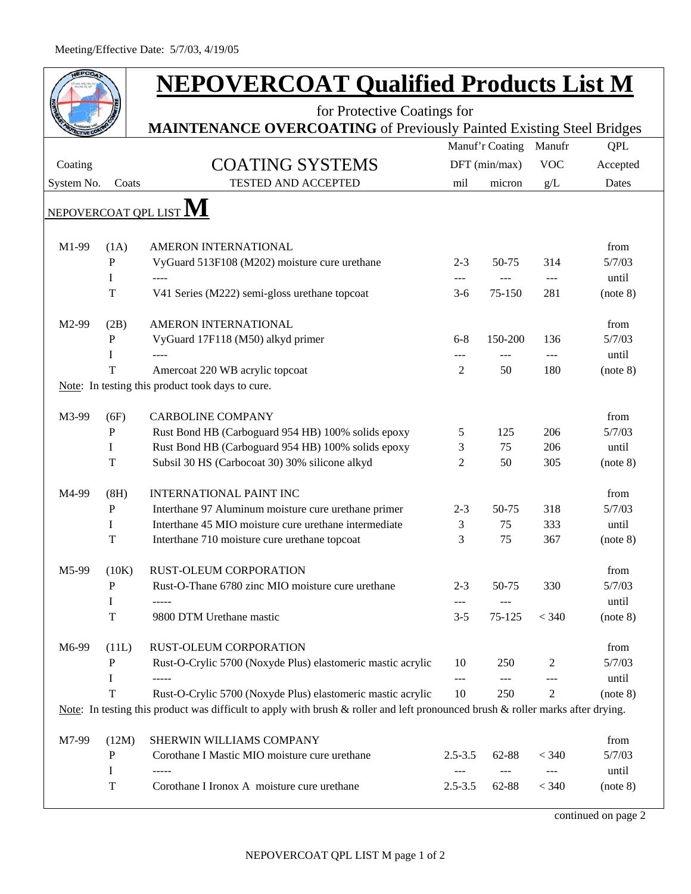| <b>JEPCOA</b>                                                               |             | <b>NEPOVERCOAT Qualified Products List M</b>                                                                                    |              |                 |            |                 |  |  |  |
|-----------------------------------------------------------------------------|-------------|---------------------------------------------------------------------------------------------------------------------------------|--------------|-----------------|------------|-----------------|--|--|--|
|                                                                             |             | for Protective Coatings for                                                                                                     |              |                 |            |                 |  |  |  |
| <b>MAINTENANCE OVERCOATING</b> of Previously Painted Existing Steel Bridges |             |                                                                                                                                 |              |                 |            |                 |  |  |  |
|                                                                             |             |                                                                                                                                 |              | Manuf'r Coating | Manufr     | <b>QPL</b>      |  |  |  |
| Coating                                                                     |             | <b>COATING SYSTEMS</b>                                                                                                          |              | DFT (min/max)   | <b>VOC</b> | Accepted        |  |  |  |
| System No.                                                                  | Coats       | <b>TESTED AND ACCEPTED</b>                                                                                                      | mil          | micron          | g/L        | Dates           |  |  |  |
| NEPOVERCOAT QPL LIST                                                        |             |                                                                                                                                 |              |                 |            |                 |  |  |  |
|                                                                             |             |                                                                                                                                 |              |                 |            |                 |  |  |  |
| M1-99                                                                       | (1A)        | AMERON INTERNATIONAL                                                                                                            |              |                 |            | from            |  |  |  |
|                                                                             | P<br>I      | VyGuard 513F108 (M202) moisture cure urethane<br>$---$                                                                          | $2 - 3$      | 50-75           | 314        | 5/7/03<br>until |  |  |  |
|                                                                             | T           | V41 Series (M222) semi-gloss urethane topcoat                                                                                   | ---<br>$3-6$ | 75-150          | ---<br>281 | (note 8)        |  |  |  |
|                                                                             |             |                                                                                                                                 |              |                 |            |                 |  |  |  |
| M2-99                                                                       | (2B)        | AMERON INTERNATIONAL                                                                                                            |              |                 |            | from            |  |  |  |
|                                                                             | P           | VyGuard 17F118 (M50) alkyd primer                                                                                               | $6 - 8$      | 150-200         | 136        | 5/7/03          |  |  |  |
|                                                                             | I           |                                                                                                                                 |              |                 | $---$      | until           |  |  |  |
|                                                                             | T           | Amercoat 220 WB acrylic topcoat                                                                                                 | 2            | 50              | 180        | (note 8)        |  |  |  |
|                                                                             |             | Note: In testing this product took days to cure.                                                                                |              |                 |            |                 |  |  |  |
| M3-99                                                                       | (6F)        | <b>CARBOLINE COMPANY</b>                                                                                                        |              |                 |            | from            |  |  |  |
|                                                                             | P           | Rust Bond HB (Carboguard 954 HB) 100% solids epoxy                                                                              | 5            | 125             | 206        | 5/7/03          |  |  |  |
|                                                                             | Ι           | Rust Bond HB (Carboguard 954 HB) 100% solids epoxy                                                                              | 3            | 75              | 206        | until           |  |  |  |
|                                                                             | T           | Subsil 30 HS (Carbocoat 30) 30% silicone alkyd                                                                                  | 2            | 50              | 305        | (note 8)        |  |  |  |
| M4-99                                                                       | (8H)        | <b>INTERNATIONAL PAINT INC</b>                                                                                                  |              |                 |            | from            |  |  |  |
|                                                                             | P           | Interthane 97 Aluminum moisture cure urethane primer                                                                            | $2 - 3$      | 50-75           | 318        | 5/7/03          |  |  |  |
|                                                                             | I           | Interthane 45 MIO moisture cure urethane intermediate                                                                           | 3            | 75              | 333        | until           |  |  |  |
|                                                                             | T           | Interthane 710 moisture cure urethane topcoat                                                                                   | 3            | 75              | 367        | (note 8)        |  |  |  |
| M5-99                                                                       | (10K)       | RUST-OLEUM CORPORATION                                                                                                          |              |                 |            | from            |  |  |  |
|                                                                             | P           | Rust-O-Thane 6780 zinc MIO moisture cure urethane                                                                               | $2 - 3$      | 50-75           | 330        | 5/7/03          |  |  |  |
|                                                                             | I           |                                                                                                                                 | ---          |                 |            | until           |  |  |  |
|                                                                             | $\mathbf T$ | 9800 DTM Urethane mastic                                                                                                        | $3 - 5$      | 75-125          | < 340      | (note 8)        |  |  |  |
| M6-99                                                                       | (11L)       | RUST-OLEUM CORPORATION                                                                                                          |              |                 |            | from            |  |  |  |
|                                                                             | P           | Rust-O-Crylic 5700 (Noxyde Plus) elastomeric mastic acrylic                                                                     | 10           | 250             | 2          | 5/7/03          |  |  |  |
|                                                                             | Ι           |                                                                                                                                 | $---$        | $---$           | ---        | until           |  |  |  |
|                                                                             | T           | Rust-O-Crylic 5700 (Noxyde Plus) elastomeric mastic acrylic                                                                     | 10           | 250             | 2          | (note 8)        |  |  |  |
|                                                                             |             | Note: In testing this product was difficult to apply with brush & roller and left pronounced brush & roller marks after drying. |              |                 |            |                 |  |  |  |
| M7-99                                                                       | (12M)       | SHERWIN WILLIAMS COMPANY                                                                                                        |              |                 |            | from            |  |  |  |
|                                                                             | P           | Corothane I Mastic MIO moisture cure urethane                                                                                   | $2.5 - 3.5$  | 62-88           | < 340      | 5/7/03          |  |  |  |
|                                                                             | I           |                                                                                                                                 |              |                 |            | until           |  |  |  |
|                                                                             | $\mathbf T$ | Corothane I Ironox A moisture cure urethane                                                                                     | $2.5 - 3.5$  | 62-88           | < 340      | (note 8)        |  |  |  |

continued on page 2